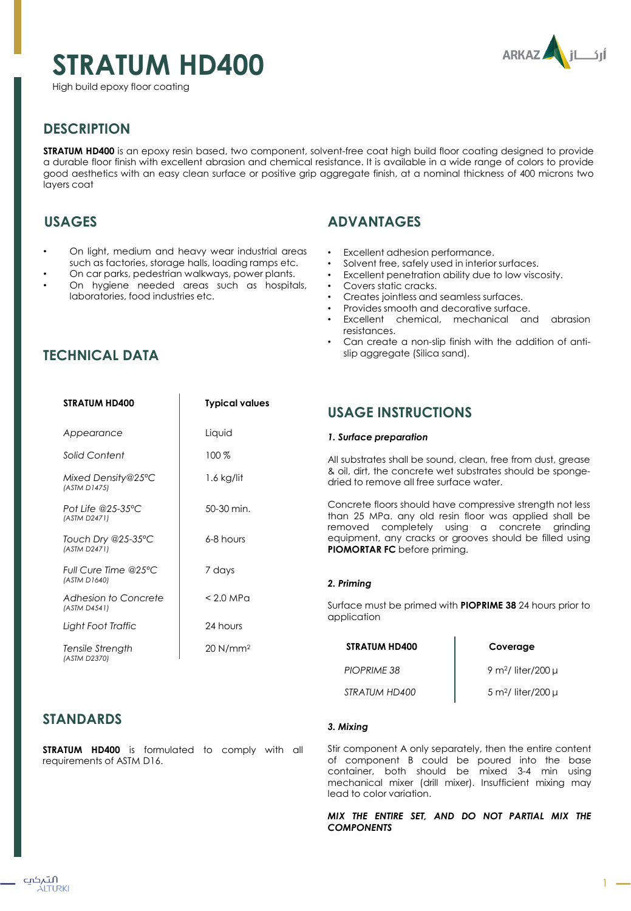# **STRATUM HD400**

High build epoxy floor coating



# **DESCRIPTION**

**STRATUM HD400** is an epoxy resin based, two component, solvent-free coat high build floor coating designed to provide a durable floor finish with excellent abrasion and chemical resistance. It is available in a wide range of colors to provide good aesthetics with an easy clean surface or positive grip aggregate finish, at a nominal thickness of 400 microns two layers coat

# **USAGES**

**TECHNICAL DATA**

- On light, medium and heavy wear industrial areas such as factories, storage halls, loading ramps etc.
- On car parks, pedestrian walkways, power plants.
- On hygiene needed areas such as hospitals, laboratories, food industries etc.

# **ADVANTAGES**

- Excellent adhesion performance.
- Solvent free, safely used in interior surfaces.
- Excellent penetration ability due to low viscosity.
- Covers static cracks.
- Creates jointless and seamless surfaces.
- Provides smooth and decorative surface.
- Excellent chemical, mechanical and abrasion resistances.
- Can create a non-slip finish with the addition of antislip aggregate (Silica sand).

| <b>STRATUM HD400</b>                 | Typical values |
|--------------------------------------|----------------|
| Appearance                           | Liauid         |
| Solid Content                        | 100%           |
| Mixed Density@25°C<br>(ASTM D1475)   | $1.6$ kg/lit   |
| Pot Life @25-35°C<br>(ASTM D2471)    | 50-30 min.     |
| Touch Dry @25-35°C<br>(ASTM D2471)   | 6-8 hours      |
| Full Cure Time @25°C<br>(ASTM D1640) | 7 days         |
| Adhesion to Concrete<br>(ASTM D4541) | $< 2.0$ MPa    |
| Light Foot Traffic                   | 24 hours       |

20 N/mm<sup>2</sup>

# **USAGE INSTRUCTIONS**

#### *1. Surface preparation*

All substrates shall be sound, clean, free from dust, grease & oil, dirt, the concrete wet substrates should be spongedried to remove all free surface water.

Concrete floors should have compressive strength not less than 25 MPa. any old resin floor was applied shall be removed completely using a concrete grinding equipment, any cracks or grooves should be filled using **PIOMORTAR FC** before priming.

#### *2. Priming*

Surface must be primed with **PIOPRIME 38** 24 hours prior to application

| <b>STRATUM HD400</b> | Coverage                           |
|----------------------|------------------------------------|
| <b>PIOPRIME 38</b>   | 9 m <sup>2</sup> / liter/200 $\mu$ |
| STRATUM HD400        | $5 \text{ m}^2$ / liter/200 µ      |

# **STANDARDS**

*Tensile Strength (ASTM D2370)*

**STRATUM HD400** is formulated to comply with all requirements of ASTM D16.

#### *3. Mixing*

Stir component A only separately, then the entire content of component B could be poured into the base container, both should be mixed 3-4 min using mechanical mixer (drill mixer). Insufficient mixing may lead to color variation.

*MIX THE ENTIRE SET, AND DO NOT PARTIAL MIX THE COMPONENTS*

 $1 -$